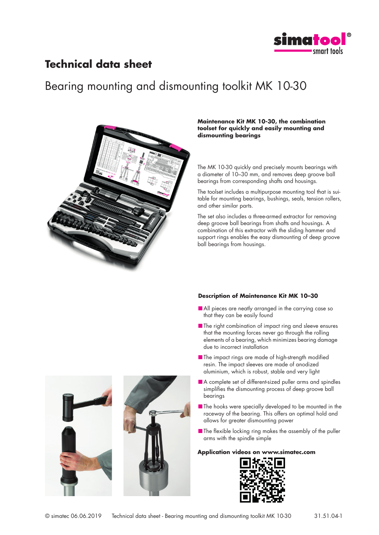

### **Technical data sheet**

# Bearing mounting and dismounting toolkit MK 10-30



#### **Maintenance Kit MK 10-30, the combination toolset for quickly and easily mounting and dismounting bearings**

The MK 10-30 quickly and precisely mounts bearings with a diameter of 10–30 mm, and removes deep groove ball bearings from corresponding shafts and housings.

The toolset includes a multipurpose mounting tool that is suitable for mounting bearings, bushings, seals, tension rollers, and other similar parts.

The set also includes a three-armed extractor for removing deep groove ball bearings from shafts and housings. A combination of this extractor with the sliding hammer and support rings enables the easy dismounting of deep groove ball bearings from housings.

### **Description of Maintenance Kit MK 10–30**

- All pieces are neatly arranged in the carrying case so that they can be easily found
- The right combination of impact ring and sleeve ensures that the mounting forces never go through the rolling elements of a bearing, which minimizes bearing damage due to incorrect installation
- The impact rings are made of high-strength modified resin. The impact sleeves are made of anodized aluminium, which is robust, stable and very light
- A complete set of different-sized puller arms and spindles simplifies the dismounting process of deep groove ball bearings
- The hooks were specially developed to be mounted in the raceway of the bearing. This offers an optimal hold and allows for greater dismounting power
- The flexible locking ring makes the assembly of the puller arms with the spindle simple

#### **Application videos on www.simatec.com**